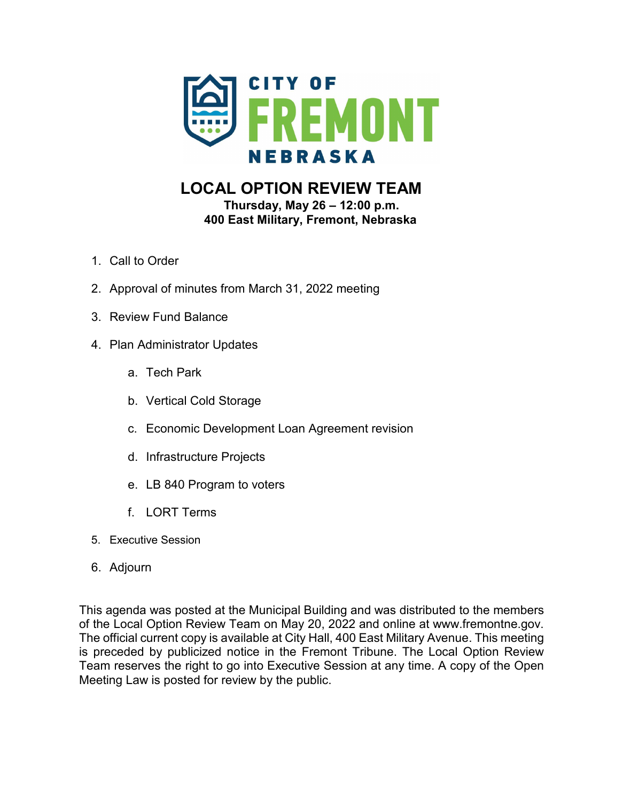

# **LOCAL OPTION REVIEW TEAM Thursday, May 26 – 12:00 p.m.**

**400 East Military, Fremont, Nebraska** 

- 1. Call to Order
- 2. Approval of minutes from March 31, 2022 meeting
- 3. Review Fund Balance
- 4. Plan Administrator Updates
	- a. Tech Park
	- b. Vertical Cold Storage
	- c. Economic Development Loan Agreement revision
	- d. Infrastructure Projects
	- e. LB 840 Program to voters
	- f. LORT Terms
- 5. Executive Session
- 6. Adjourn

This agenda was posted at the Municipal Building and was distributed to the members of the Local Option Review Team on May 20, 2022 and online at www.fremontne.gov. The official current copy is available at City Hall, 400 East Military Avenue. This meeting is preceded by publicized notice in the Fremont Tribune. The Local Option Review Team reserves the right to go into Executive Session at any time. A copy of the Open Meeting Law is posted for review by the public.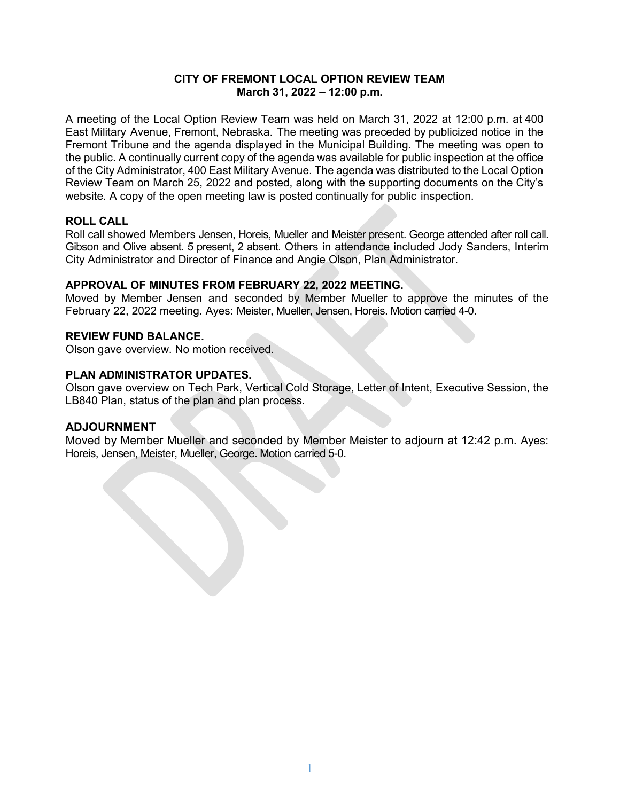### **CITY OF FREMONT LOCAL OPTION REVIEW TEAM March 31, 2022 – 12:00 p.m.**

A meeting of the Local Option Review Team was held on March 31, 2022 at 12:00 p.m. at 400 East Military Avenue, Fremont, Nebraska. The meeting was preceded by publicized notice in the Fremont Tribune and the agenda displayed in the Municipal Building. The meeting was open to the public. A continually current copy of the agenda was available for public inspection at the office of the City Administrator, 400 East Military Avenue. The agenda was distributed to the Local Option Review Team on March 25, 2022 and posted, along with the supporting documents on the City's website. A copy of the open meeting law is posted continually for public inspection.

## **ROLL CALL**

Roll call showed Members Jensen, Horeis, Mueller and Meister present. George attended after roll call. Gibson and Olive absent. 5 present, 2 absent. Others in attendance included Jody Sanders, Interim City Administrator and Director of Finance and Angie Olson, Plan Administrator.

#### **APPROVAL OF MINUTES FROM FEBRUARY 22, 2022 MEETING.**

Moved by Member Jensen and seconded by Member Mueller to approve the minutes of the February 22, 2022 meeting. Ayes: Meister, Mueller, Jensen, Horeis. Motion carried 4-0.

#### **REVIEW FUND BALANCE.**

Olson gave overview. No motion received.

#### **PLAN ADMINISTRATOR UPDATES.**

Olson gave overview on Tech Park, Vertical Cold Storage, Letter of Intent, Executive Session, the LB840 Plan, status of the plan and plan process.

#### **ADJOURNMENT**

Moved by Member Mueller and seconded by Member Meister to adjourn at 12:42 p.m. Ayes: Horeis, Jensen, Meister, Mueller, George. Motion carried 5-0.